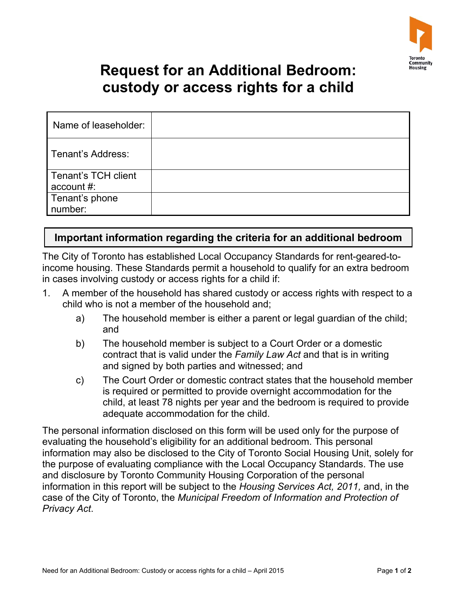

## **Request for an Additional Bedroom: custody or access rights for a child**

| Name of leaseholder:              |  |
|-----------------------------------|--|
| Tenant's Address:                 |  |
| Tenant's TCH client<br>account #: |  |
| Tenant's phone<br>number:         |  |

## **Important information regarding the criteria for an additional bedroom**

The City of Toronto has established Local Occupancy Standards for rent-geared-toincome housing. These Standards permit a household to qualify for an extra bedroom in cases involving custody or access rights for a child if:

- 1. A member of the household has shared custody or access rights with respect to a child who is not a member of the household and;
	- and a) The household member is either a parent or legal guardian of the child;
	- b) The household member is subject to a Court Order or a domestic contract that is valid under the *Family Law Act* and that is in writing and signed by both parties and witnessed; and
	- c) The Court Order or domestic contract states that the household member is required or permitted to provide overnight accommodation for the child, at least 78 nights per year and the bedroom is required to provide adequate accommodation for the child.

The personal information disclosed on this form will be used only for the purpose of evaluating the household's eligibility for an additional bedroom. This personal information may also be disclosed to the City of Toronto Social Housing Unit, solely for the purpose of evaluating compliance with the Local Occupancy Standards. The use and disclosure by Toronto Community Housing Corporation of the personal information in this report will be subject to the *Housing Services Act, 2011,* and, in the case of the City of Toronto, the *Municipal Freedom of Information and Protection of Privacy Act*.